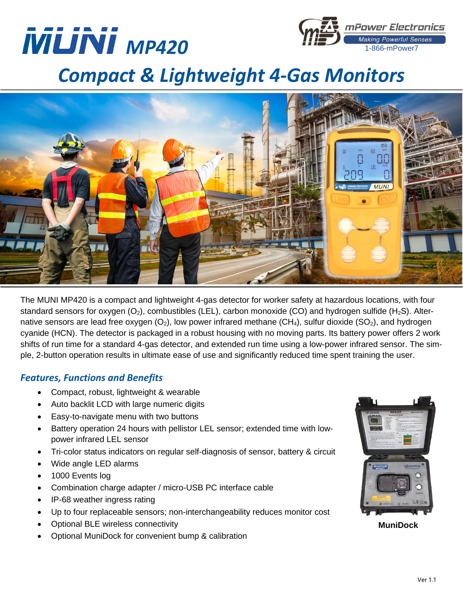



# *Compact & Lightweight 4-Gas Monitors*



The MUNI MP420 is a compact and lightweight 4-gas detector for worker safety at hazardous locations, with four standard sensors for oxygen  $(O_2)$ , combustibles (LEL), carbon monoxide (CO) and hydrogen sulfide (H<sub>2</sub>S). Alternative sensors are lead free oxygen  $(O_2)$ , low power infrared methane  $(CH_4)$ , sulfur dioxide  $(SO_2)$ , and hydrogen cyanide (HCN). The detector is packaged in a robust housing with no moving parts. Its battery power offers 2 work shifts of run time for a standard 4-gas detector, and extended run time using a low-power infrared sensor. The simple, 2-button operation results in ultimate ease of use and significantly reduced time spent training the user.

# *Features, Functions and Benefits*

- Compact, robust, lightweight & wearable
- Auto backlit LCD with large numeric digits
- Easy-to-navigate menu with two buttons
- Battery operation 24 hours with pellistor LEL sensor; extended time with lowpower infrared LEL sensor
- Tri-color status indicators on regular self-diagnosis of sensor, battery & circuit
- Wide angle LED alarms
- 1000 Events log
- Combination charge adapter / micro-USB PC interface cable
- IP-68 weather ingress rating
- Up to four replaceable sensors; non-interchangeability reduces monitor cost
- Optional BLE wireless connectivity
- Optional MuniDock for convenient bump & calibration



**MuniDock**